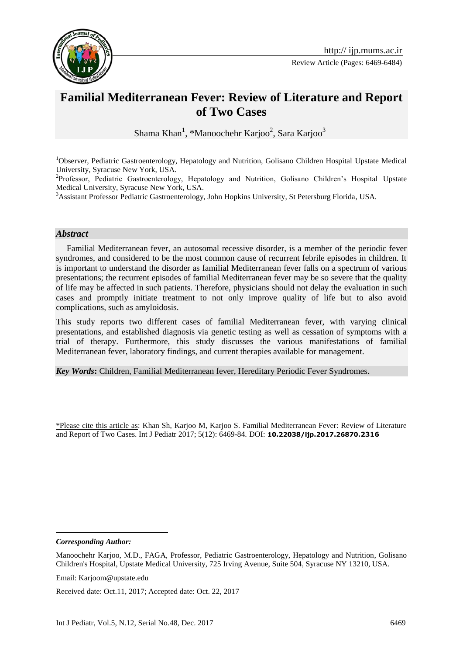

Review Article (Pages: 6469-6484)

# **Familial Mediterranean Fever: Review of Literature and Report of Two Cases**

Shama Khan<sup>1</sup>, \*Manoochehr Karjoo<sup>2</sup>, Sara Karjoo<sup>3</sup>

<sup>1</sup>Observer, Pediatric Gastroenterology, Hepatology and Nutrition, Golisano Children Hospital Upstate Medical University, Syracuse New York, USA.

<sup>2</sup>Professor, Pediatric Gastroenterology, Hepatology and Nutrition, Golisano Children's Hospital Upstate Medical University, Syracuse New York, USA.

<sup>3</sup>Assistant Professor Pediatric Gastroenterology, John Hopkins University, St Petersburg Florida, USA.

#### *Abstract*

 Familial Mediterranean fever, an autosomal recessive disorder, is a member of the periodic fever syndromes, and considered to be the most common cause of recurrent febrile episodes in children. It is important to understand the disorder as familial Mediterranean fever falls on a spectrum of various presentations; the recurrent episodes of familial Mediterranean fever may be so severe that the quality of life may be affected in such patients. Therefore, physicians should not delay the evaluation in such cases and promptly initiate treatment to not only improve quality of life but to also avoid complications, such as amyloidosis.

This study reports two different cases of familial Mediterranean fever, with varying clinical presentations, and established diagnosis via genetic testing as well as cessation of symptoms with a trial of therapy. Furthermore, this study discusses the various manifestations of familial Mediterranean fever, laboratory findings, and current therapies available for management.

*Key Words***:** Children, Familial Mediterranean fever, Hereditary Periodic Fever Syndromes.

\*Please cite this article as: Khan Sh, Karjoo M, Karjoo S. Familial Mediterranean Fever: Review of Literature and Report of Two Cases. Int J Pediatr 2017; 5(12): 6469-84. DOI: **10.22038/ijp.2017.26870.2316**

*Corresponding Author:*

<u>.</u>

Email: Karjoom@upstate.edu

Received date: Oct.11, 2017; Accepted date: Oct. 22, 2017

Manoochehr Karjoo, M.D., FAGA, Professor, Pediatric Gastroenterology, Hepatology and Nutrition, Golisano Children's Hospital, Upstate Medical University, 725 Irving Avenue, Suite 504, Syracuse NY 13210, USA.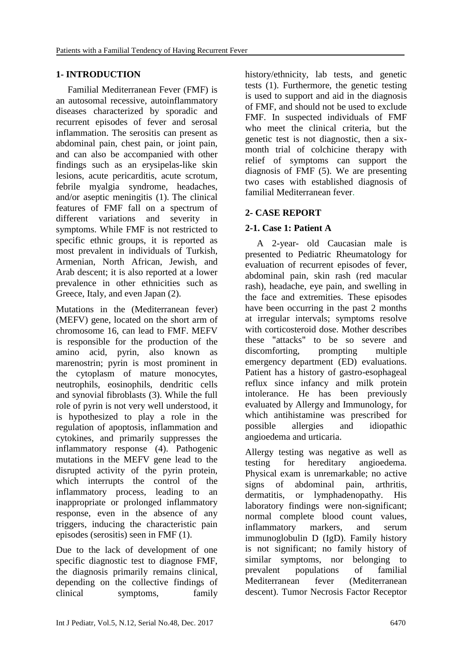## **1- INTRODUCTION**

 Familial Mediterranean Fever (FMF) is an autosomal recessive, autoinflammatory diseases characterized by sporadic and recurrent episodes of fever and serosal inflammation. The serositis can present as abdominal pain, chest pain, or joint pain, and can also be accompanied with other findings such as an erysipelas-like skin lesions, acute pericarditis, acute scrotum, febrile myalgia syndrome, headaches, and/or aseptic meningitis (1). The clinical features of FMF fall on a spectrum of different variations and severity symptoms. While FMF is not restricted to specific ethnic groups, it is reported as most prevalent in individuals of Turkish, Armenian, North African, Jewish, and Arab descent; it is also reported at a lower prevalence in other ethnicities such as Greece, Italy, and even Japan (2).

Mutations in the (Mediterranean fever) (MEFV) gene, located on the short arm of chromosome 16, can lead to FMF. MEFV is responsible for the production of the amino acid, pyrin, also known as marenostrin; pyrin is most prominent in the cytoplasm of mature monocytes, neutrophils, eosinophils, dendritic cells and synovial fibroblasts (3). While the full role of pyrin is not very well understood, it is hypothesized to play a role in the regulation of apoptosis, inflammation and cytokines, and primarily suppresses the inflammatory response (4). Pathogenic mutations in the MEFV gene lead to the disrupted activity of the pyrin protein, which interrupts the control of the inflammatory process, leading to an inappropriate or prolonged inflammatory response, even in the absence of any triggers, inducing the characteristic pain episodes (serositis) seen in FMF (1).

Due to the lack of development of one specific diagnostic test to diagnose FMF, the diagnosis primarily remains clinical, depending on the collective findings of clinical symptoms, family history/ethnicity, lab tests, and genetic tests (1). Furthermore, the genetic testing is used to support and aid in the diagnosis of FMF, and should not be used to exclude FMF. In suspected individuals of FMF who meet the clinical criteria, but the genetic test is not diagnostic, then a sixmonth trial of colchicine therapy with relief of symptoms can support the diagnosis of FMF (5). We are presenting two cases with established diagnosis of familial Mediterranean fever.

## **2- CASE REPORT**

## **2-1. Case 1: Patient A**

 A 2-year- old Caucasian male is presented to Pediatric Rheumatology for evaluation of recurrent episodes of fever, abdominal pain, skin rash (red macular rash), headache, eye pain, and swelling in the face and extremities. These episodes have been occurring in the past 2 months at irregular intervals; symptoms resolve with corticosteroid dose. Mother describes these "attacks" to be so severe and discomforting, prompting multiple emergency department (ED) evaluations. Patient has a history of gastro-esophageal reflux since infancy and milk protein intolerance. He has been previously evaluated by Allergy and Immunology, for which antihistamine was prescribed for possible allergies and idiopathic angioedema and urticaria.

Allergy testing was negative as well as testing for hereditary angioedema. Physical exam is unremarkable; no active signs of abdominal pain, arthritis, dermatitis, or lymphadenopathy. His laboratory findings were non-significant; normal complete blood count values, inflammatory markers, and serum immunoglobulin D (IgD). Family history is not significant; no family history of similar symptoms, nor belonging to prevalent populations of familial Mediterranean fever (Mediterranean descent). Tumor Necrosis Factor Receptor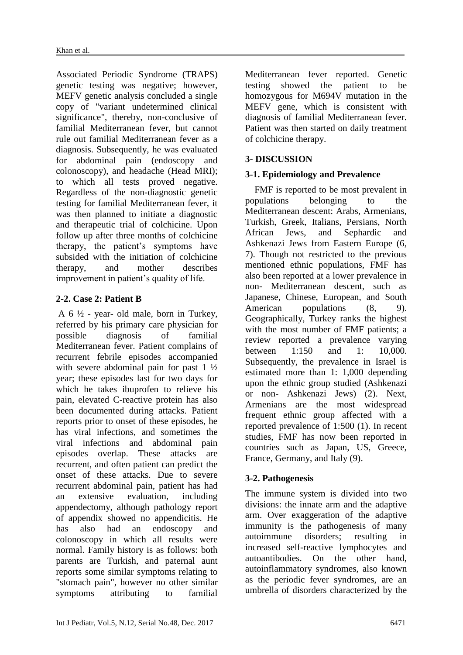Associated Periodic Syndrome (TRAPS) genetic testing was negative; however, MEFV genetic analysis concluded a single copy of "variant undetermined clinical significance", thereby, non-conclusive of familial Mediterranean fever, but cannot rule out familial Mediterranean fever as a diagnosis. Subsequently, he was evaluated for abdominal pain (endoscopy and colonoscopy), and headache (Head MRI); to which all tests proved negative. Regardless of the non-diagnostic genetic testing for familial Mediterranean fever, it was then planned to initiate a diagnostic and therapeutic trial of colchicine. Upon follow up after three months of colchicine therapy, the patient's symptoms have subsided with the initiation of colchicine therapy, and mother describes improvement in patient's quality of life.

## **2-2. Case 2: Patient B**

A  $6\frac{1}{2}$  - year- old male, born in Turkey, referred by his primary care physician for possible diagnosis of familial Mediterranean fever. Patient complains of recurrent febrile episodes accompanied with severe abdominal pain for past 1  $\frac{1}{2}$ year; these episodes last for two days for which he takes ibuprofen to relieve his pain, elevated C-reactive protein has also been documented during attacks. Patient reports prior to onset of these episodes, he has viral infections, and sometimes the viral infections and abdominal pain episodes overlap. These attacks are recurrent, and often patient can predict the onset of these attacks. Due to severe recurrent abdominal pain, patient has had an extensive evaluation, including appendectomy, although pathology report of appendix showed no appendicitis. He has also had an endoscopy and colonoscopy in which all results were normal. Family history is as follows: both parents are Turkish, and paternal aunt reports some similar symptoms relating to "stomach pain", however no other similar symptoms attributing to familial Mediterranean fever reported. Genetic testing showed the patient to be homozygous for M694V mutation in the MEFV gene, which is consistent with diagnosis of familial Mediterranean fever. Patient was then started on daily treatment of colchicine therapy.

## **3- DISCUSSION**

## **3-1. Epidemiology and Prevalence**

 FMF is reported to be most prevalent in populations belonging to the Mediterranean descent: Arabs, Armenians, Turkish, Greek, Italians, Persians, North African Jews, and Sephardic and Ashkenazi Jews from Eastern Europe (6, 7). Though not restricted to the previous mentioned ethnic populations, FMF has also been reported at a lower prevalence in non- Mediterranean descent, such as Japanese, Chinese, European, and South American populations  $(8, 9)$ . Geographically, Turkey ranks the highest with the most number of FMF patients; a review reported a prevalence varying between 1:150 and 1: 10,000. Subsequently, the prevalence in Israel is estimated more than 1: 1,000 depending upon the ethnic group studied (Ashkenazi or non- Ashkenazi Jews) (2). Next, Armenians are the most widespread frequent ethnic group affected with a reported prevalence of 1:500 (1). In recent studies, FMF has now been reported in countries such as Japan, US, Greece, France, Germany, and Italy (9).

## **3-2. Pathogenesis**

The immune system is divided into two divisions: the innate arm and the adaptive arm. Over exaggeration of the adaptive immunity is the pathogenesis of many autoimmune disorders; resulting in increased self-reactive lymphocytes and autoantibodies. On the other hand, autoinflammatory syndromes, also known as the periodic fever syndromes, are an umbrella of disorders characterized by the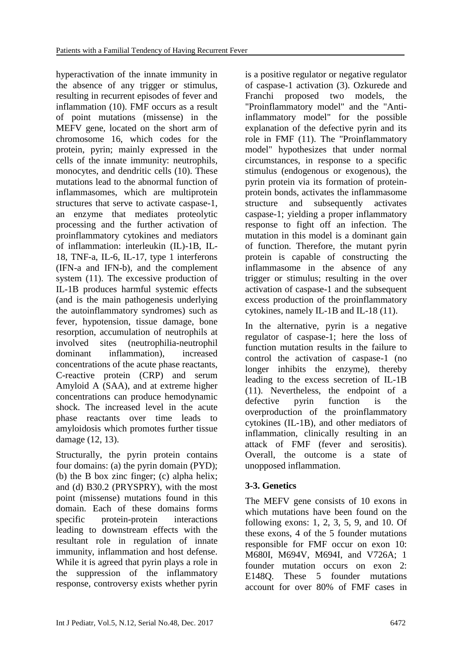hyperactivation of the innate immunity in the absence of any trigger or stimulus, resulting in recurrent episodes of fever and inflammation (10). FMF occurs as a result of point mutations (missense) in the MEFV gene, located on the short arm of chromosome 16, which codes for the protein, pyrin; mainly expressed in the cells of the innate immunity: neutrophils, monocytes, and dendritic cells (10). These mutations lead to the abnormal function of inflammasomes, which are multiprotein structures that serve to activate caspase-1, an enzyme that mediates proteolytic processing and the further activation of proinflammatory cytokines and mediators of inflammation: interleukin (IL)-1B, IL-18, TNF-a, IL-6, IL-17, type 1 interferons (IFN-a and IFN-b), and the complement system (11). The excessive production of IL-1B produces harmful systemic effects (and is the main pathogenesis underlying the autoinflammatory syndromes) such as fever, hypotension, tissue damage, bone resorption, accumulation of neutrophils at involved sites (neutrophilia-neutrophil dominant inflammation), increased concentrations of the acute phase reactants, C-reactive protein (CRP) and serum Amyloid A (SAA), and at extreme higher concentrations can produce hemodynamic shock. The increased level in the acute phase reactants over time leads to amyloidosis which promotes further tissue damage (12, 13).

Structurally, the pyrin protein contains four domains: (a) the pyrin domain (PYD); (b) the B box zinc finger; (c) alpha helix; and (d) B30.2 (PRYSPRY), with the most point (missense) mutations found in this domain. Each of these domains forms specific protein-protein interactions leading to downstream effects with the resultant role in regulation of innate immunity, inflammation and host defense. While it is agreed that pyrin plays a role in the suppression of the inflammatory response, controversy exists whether pyrin is a positive regulator or negative regulator of caspase-1 activation (3). Ozkurede and Franchi proposed two models, the "Proinflammatory model" and the "Antiinflammatory model" for the possible explanation of the defective pyrin and its role in FMF (11). The "Proinflammatory model" hypothesizes that under normal circumstances, in response to a specific stimulus (endogenous or exogenous), the pyrin protein via its formation of proteinprotein bonds, activates the inflammasome structure and subsequently activates caspase-1; yielding a proper inflammatory response to fight off an infection. The mutation in this model is a dominant gain of function. Therefore, the mutant pyrin protein is capable of constructing the inflammasome in the absence of any trigger or stimulus; resulting in the over activation of caspase-1 and the subsequent excess production of the proinflammatory cytokines, namely IL-1B and IL-18 (11).

In the alternative, pyrin is a negative regulator of caspase-1; here the loss of function mutation results in the failure to control the activation of caspase-1 (no longer inhibits the enzyme), thereby leading to the excess secretion of IL-1B (11). Nevertheless, the endpoint of a defective pyrin function is the overproduction of the proinflammatory cytokines (IL-1B), and other mediators of inflammation, clinically resulting in an attack of FMF (fever and serositis). Overall, the outcome is a state of unopposed inflammation.

## **3-3. Genetics**

The MEFV gene consists of 10 exons in which mutations have been found on the following exons: 1, 2, 3, 5, 9, and 10. Of these exons, 4 of the 5 founder mutations responsible for FMF occur on exon 10: M680I, M694V, M694I, and V726A; 1 founder mutation occurs on exon 2: E148Q. These 5 founder mutations account for over 80% of FMF cases in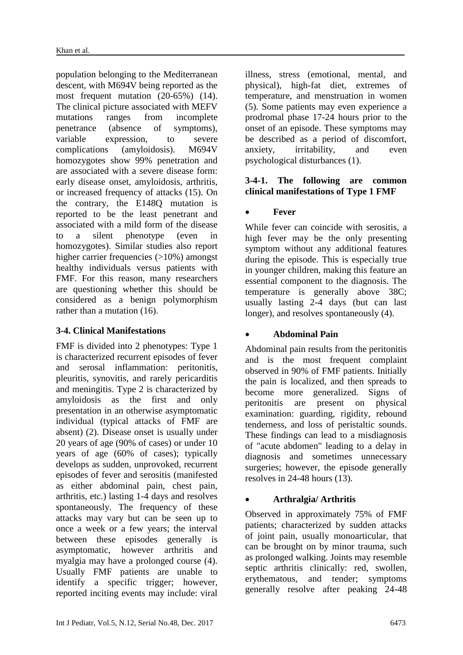population belonging to the Mediterranean descent, with M694V being reported as the most frequent mutation (20-65%) (14). The clinical picture associated with MEFV mutations ranges from incomplete penetrance (absence of symptoms), variable expression, to severe complications (amyloidosis). M694V homozygotes show 99% penetration and are associated with a severe disease form: early disease onset, amyloidosis, arthritis, or increased frequency of attacks (15). On the contrary, the E148Q mutation is reported to be the least penetrant and associated with a mild form of the disease to a silent phenotype (even in homozygotes). Similar studies also report higher carrier frequencies (>10%) amongst healthy individuals versus patients with FMF. For this reason, many researchers are questioning whether this should be considered as a benign polymorphism rather than a mutation (16).

## **3-4. Clinical Manifestations**

FMF is divided into 2 phenotypes: Type 1 is characterized recurrent episodes of fever and serosal inflammation: peritonitis, pleuritis, synovitis, and rarely pericarditis and meningitis. Type 2 is characterized by amyloidosis as the first and only presentation in an otherwise asymptomatic individual (typical attacks of FMF are absent) (2). Disease onset is usually under 20 years of age (90% of cases) or under 10 years of age (60% of cases); typically develops as sudden, unprovoked, recurrent episodes of fever and serositis (manifested as either abdominal pain, chest pain, arthritis, etc.) lasting 1-4 days and resolves spontaneously. The frequency of these attacks may vary but can be seen up to once a week or a few years; the interval between these episodes generally is asymptomatic, however arthritis and myalgia may have a prolonged course (4). Usually FMF patients are unable to identify a specific trigger; however, reported inciting events may include: viral

illness, stress (emotional, mental, and physical), high-fat diet, extremes of temperature, and menstruation in women (5). Some patients may even experience a prodromal phase 17-24 hours prior to the onset of an episode. These symptoms may be described as a period of discomfort, anxiety, irritability, and even psychological disturbances (1).

## **3-4-1. The following are common clinical manifestations of Type 1 FMF**

## **Fever**

While fever can coincide with serositis, a high fever may be the only presenting symptom without any additional features during the episode. This is especially true in younger children, making this feature an essential component to the diagnosis. The temperature is generally above 38C; usually lasting 2-4 days (but can last longer), and resolves spontaneously (4).

## **Abdominal Pain**

Abdominal pain results from the peritonitis and is the most frequent complaint observed in 90% of FMF patients. Initially the pain is localized, and then spreads to become more generalized. Signs of peritonitis are present on physical examination: guarding, rigidity, rebound tenderness, and loss of peristaltic sounds. These findings can lead to a misdiagnosis of "acute abdomen" leading to a delay in diagnosis and sometimes unnecessary surgeries; however, the episode generally resolves in 24-48 hours (13).

## **Arthralgia/ Arthritis**

Observed in approximately 75% of FMF patients; characterized by sudden attacks of joint pain, usually monoarticular, that can be brought on by minor trauma, such as prolonged walking. Joints may resemble septic arthritis clinically: red, swollen, erythematous, and tender; symptoms generally resolve after peaking 24-48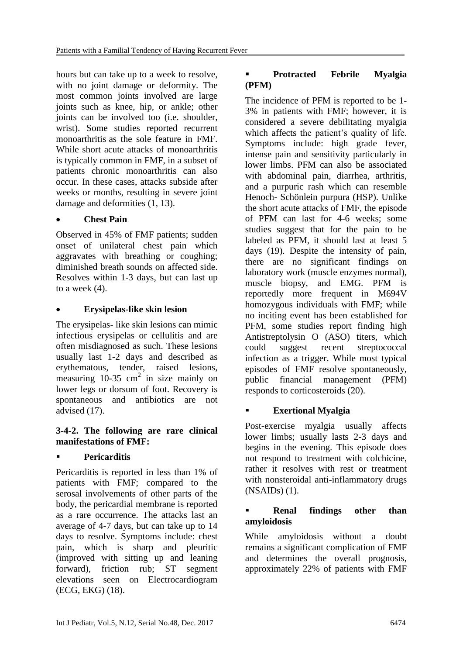hours but can take up to a week to resolve, with no joint damage or deformity. The most common joints involved are large joints such as knee, hip, or ankle; other joints can be involved too (i.e. shoulder, wrist). Some studies reported recurrent monoarthritis as the sole feature in FMF. While short acute attacks of monoarthritis is typically common in FMF, in a subset of patients chronic monoarthritis can also occur. In these cases, attacks subside after weeks or months, resulting in severe joint damage and deformities (1, 13).

## **Chest Pain**

Observed in 45% of FMF patients; sudden onset of unilateral chest pain which aggravates with breathing or coughing; diminished breath sounds on affected side. Resolves within 1-3 days, but can last up to a week (4).

## **Erysipelas-like skin lesion**

The erysipelas- like skin lesions can mimic infectious erysipelas or cellulitis and are often misdiagnosed as such. These lesions usually last 1-2 days and described as erythematous, tender, raised lesions, measuring  $10-35$  cm<sup>2</sup> in size mainly on lower legs or dorsum of foot. Recovery is spontaneous and antibiotics are not advised (17).

#### **3-4-2. The following are rare clinical manifestations of FMF:**

## **Pericarditis**

Pericarditis is reported in less than 1% of patients with FMF; compared to the serosal involvements of other parts of the body, the pericardial membrane is reported as a rare occurrence. The attacks last an average of 4-7 days, but can take up to 14 days to resolve. Symptoms include: chest pain, which is sharp and pleuritic (improved with sitting up and leaning forward), friction rub; ST segment elevations seen on Electrocardiogram (ECG, EKG) (18).

## **Protracted Febrile Myalgia (PFM)**

The incidence of PFM is reported to be 1- 3% in patients with FMF; however, it is considered a severe debilitating myalgia which affects the patient's quality of life. Symptoms include: high grade fever, intense pain and sensitivity particularly in lower limbs. PFM can also be associated with abdominal pain, diarrhea, arthritis, and a purpuric rash which can resemble Henoch- Schönlein purpura (HSP). Unlike the short acute attacks of FMF, the episode of PFM can last for 4-6 weeks; some studies suggest that for the pain to be labeled as PFM, it should last at least 5 days (19). Despite the intensity of pain, there are no significant findings on laboratory work (muscle enzymes normal), muscle biopsy, and EMG. PFM is reportedly more frequent in M694V homozygous individuals with FMF; while no inciting event has been established for PFM, some studies report finding high Antistreptolysin O (ASO) titers, which could suggest recent streptococcal infection as a trigger. While most typical episodes of FMF resolve spontaneously, public financial management (PFM) responds to corticosteroids (20).

## **Exertional Myalgia**

Post-exercise myalgia usually affects lower limbs; usually lasts 2-3 days and begins in the evening. This episode does not respond to treatment with colchicine, rather it resolves with rest or treatment with nonsteroidal anti-inflammatory drugs (NSAIDs) (1).

#### **Renal findings other than amyloidosis**

While amyloidosis without a doubt remains a significant complication of FMF and determines the overall prognosis, approximately 22% of patients with FMF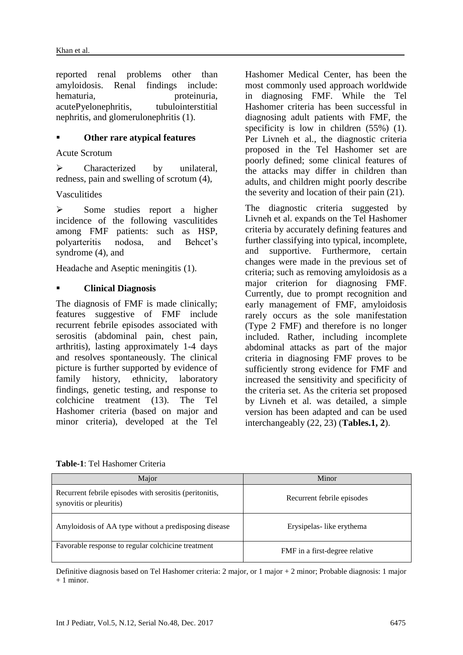reported renal problems other than amyloidosis. Renal findings include: hematuria, proteinuria, proteinuria, acutePyelonephritis, tubulointerstitial nephritis, and glomerulonephritis (1).

#### **Other rare atypical features**

Acute Scrotum

 $\triangleright$  Characterized by unilateral, redness, pain and swelling of scrotum (4),

Vasculitides

 $\triangleright$  Some studies report a higher incidence of the following vasculitides among FMF patients: such as HSP, polyarteritis nodosa, and Behcet's syndrome (4), and

Headache and Aseptic meningitis (1).

#### **Clinical Diagnosis**

The diagnosis of FMF is made clinically; features suggestive of FMF include recurrent febrile episodes associated with serositis (abdominal pain, chest pain, arthritis), lasting approximately 1-4 days and resolves spontaneously. The clinical picture is further supported by evidence of family history, ethnicity, laboratory findings, genetic testing, and response to colchicine treatment (13). The Tel Hashomer criteria (based on major and minor criteria), developed at the Tel

Hashomer Medical Center, has been the most commonly used approach worldwide in diagnosing FMF. While the Tel Hashomer criteria has been successful in diagnosing adult patients with FMF, the specificity is low in children  $(55%)$  (1). Per Livneh et al., the diagnostic criteria proposed in the Tel Hashomer set are poorly defined; some clinical features of the attacks may differ in children than adults, and children might poorly describe the severity and location of their pain (21).

The diagnostic criteria suggested by Livneh et al. expands on the Tel Hashomer criteria by accurately defining features and further classifying into typical, incomplete, and supportive. Furthermore, certain changes were made in the previous set of criteria; such as removing amyloidosis as a major criterion for diagnosing FMF. Currently, due to prompt recognition and early management of FMF, amyloidosis rarely occurs as the sole manifestation (Type 2 FMF) and therefore is no longer included. Rather, including incomplete abdominal attacks as part of the major criteria in diagnosing FMF proves to be sufficiently strong evidence for FMF and increased the sensitivity and specificity of the criteria set. As the criteria set proposed by Livneh et al. was detailed, a simple version has been adapted and can be used interchangeably (22, 23) (**Tables.1, 2**).

| Major                                                                              | Minor                          |
|------------------------------------------------------------------------------------|--------------------------------|
| Recurrent febrile episodes with serositis (peritonitis,<br>synovitis or pleuritis) | Recurrent febrile episodes     |
| Amyloidosis of AA type without a predisposing disease                              | Erysipelas-like erythema       |
| Favorable response to regular colchicine treatment                                 | FMF in a first-degree relative |

**Table-1**: Tel Hashomer Criteria

Definitive diagnosis based on Tel Hashomer criteria: 2 major, or 1 major + 2 minor; Probable diagnosis: 1 major  $+ 1$  minor.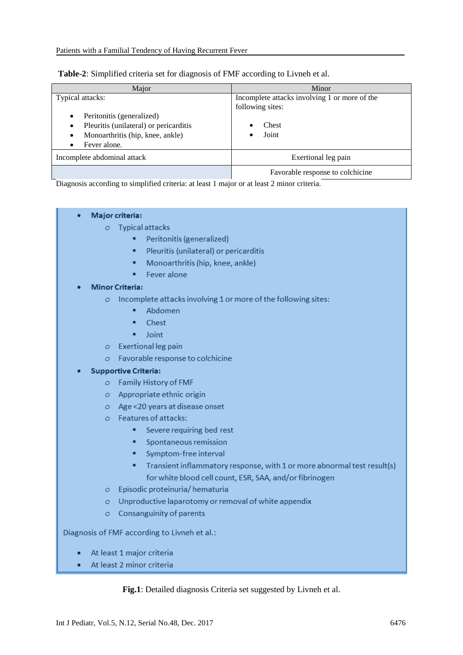|  |  |  |  | Table-2: Simplified criteria set for diagnosis of FMF according to Livneh et al. |
|--|--|--|--|----------------------------------------------------------------------------------|
|  |  |  |  |                                                                                  |

| Maior                                                                                                                                       | Minor                                                                               |
|---------------------------------------------------------------------------------------------------------------------------------------------|-------------------------------------------------------------------------------------|
| Typical attacks:<br>Peritonitis (generalized)<br>Pleuritis (unilateral) or pericarditis<br>Monoarthritis (hip, knee, ankle)<br>Fever alone. | Incomplete attacks involving 1 or more of the<br>following sites:<br>Chest<br>Joint |
| Incomplete abdominal attack                                                                                                                 | Exertional leg pain                                                                 |
|                                                                                                                                             | Favorable response to colchicine                                                    |

Diagnosis according to simplified criteria: at least 1 major or at least 2 minor criteria.

| <b>Typical attacks</b><br>$\sigma$<br>٠                                      |  |
|------------------------------------------------------------------------------|--|
|                                                                              |  |
| Peritonitis (generalized)                                                    |  |
| Pleuritis (unilateral) or pericarditis<br>٠                                  |  |
| Monoarthritis (hip, knee, ankle)<br>٠                                        |  |
| Fever alone<br>٠                                                             |  |
| <b>Minor Criteria:</b>                                                       |  |
| Incomplete attacks involving 1 or more of the following sites:<br>Ō          |  |
| Abdomen<br>٠                                                                 |  |
| Chest<br>٠                                                                   |  |
| Joint<br>٠                                                                   |  |
| <b>Exertional leg pain</b><br>$\circ$                                        |  |
| Favorable response to colchicine<br>Ō                                        |  |
| <b>Supportive Criteria:</b>                                                  |  |
| Family History of FMF<br>Ō                                                   |  |
| Appropriate ethnic origin<br>Ō                                               |  |
| Age <20 years at disease onset<br>$\circ$                                    |  |
| $\circ$ Features of attacks:                                                 |  |
| Severe requiring bed rest<br>٠                                               |  |
| Spontaneous remission<br>٠                                                   |  |
| Symptom-free interval<br>٠                                                   |  |
| Transient inflammatory response, with 1 or more abnormal test result(s)<br>٠ |  |
| for white blood cell count, ESR, SAA, and/or fibrinogen                      |  |
| Episodic proteinuria/ hematuria<br>Ō                                         |  |
| Unproductive laparotomy or removal of white appendix<br>Ō                    |  |
| Consanguinity of parents<br>Ō                                                |  |
| Diagnosis of FMF according to Livneh et al.:                                 |  |
| At least 1 major criteria                                                    |  |

At least 2 minor criteria ٠

**Fig.1**: Detailed diagnosis Criteria set suggested by Livneh et al.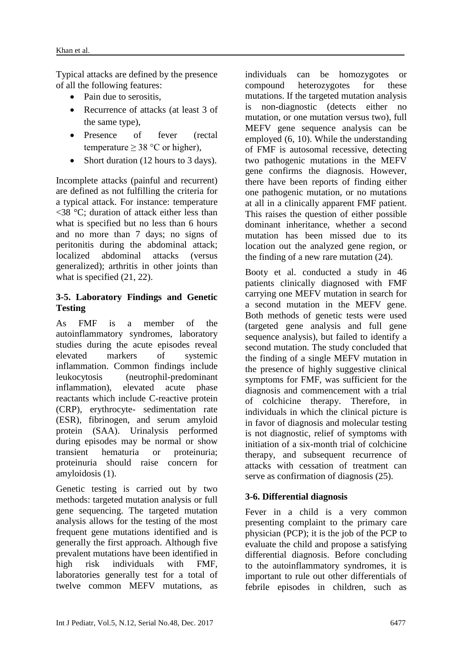Typical attacks are defined by the presence of all the following features:

- Pain due to serositis,
- Recurrence of attacks (at least 3 of the same type),
- Presence of fever (rectal temperature  $\geq$  38 °C or higher),
- Short duration (12 hours to 3 days).

Incomplete attacks (painful and recurrent) are defined as not fulfilling the criteria for a typical attack. For instance: temperature <38 °C; duration of attack either less than what is specified but no less than 6 hours and no more than 7 days; no signs of peritonitis during the abdominal attack; localized abdominal attacks (versus generalized); arthritis in other joints than what is specified (21, 22).

#### **3-5. Laboratory Findings and Genetic Testing**

As FMF is a member of the autoinflammatory syndromes, laboratory studies during the acute episodes reveal elevated markers of systemic inflammation. Common findings include leukocytosis (neutrophil-predominant inflammation), elevated acute phase reactants which include C-reactive protein (CRP), erythrocyte- sedimentation rate (ESR), fibrinogen, and serum amyloid protein (SAA). Urinalysis performed during episodes may be normal or show transient hematuria or proteinuria; proteinuria should raise concern for amyloidosis (1).

Genetic testing is carried out by two methods: targeted mutation analysis or full gene sequencing. The targeted mutation analysis allows for the testing of the most frequent gene mutations identified and is generally the first approach. Although five prevalent mutations have been identified in high risk individuals with FMF, laboratories generally test for a total of twelve common MEFV mutations, as individuals can be homozygotes or compound heterozygotes for these mutations. If the targeted mutation analysis is non-diagnostic (detects either no mutation, or one mutation versus two), full MEFV gene sequence analysis can be employed (6, 10). While the understanding of FMF is autosomal recessive, detecting two pathogenic mutations in the MEFV gene confirms the diagnosis. However, there have been reports of finding either one pathogenic mutation, or no mutations at all in a clinically apparent FMF patient. This raises the question of either possible dominant inheritance, whether a second mutation has been missed due to its location out the analyzed gene region, or the finding of a new rare mutation (24).

Booty et al. conducted a study in 46 patients clinically diagnosed with FMF carrying one MEFV mutation in search for a second mutation in the MEFV gene. Both methods of genetic tests were used (targeted gene analysis and full gene sequence analysis), but failed to identify a second mutation. The study concluded that the finding of a single MEFV mutation in the presence of highly suggestive clinical symptoms for FMF, was sufficient for the diagnosis and commencement with a trial of colchicine therapy. Therefore, in individuals in which the clinical picture is in favor of diagnosis and molecular testing is not diagnostic, relief of symptoms with initiation of a six-month trial of colchicine therapy, and subsequent recurrence of attacks with cessation of treatment can serve as confirmation of diagnosis (25).

## **3-6. Differential diagnosis**

Fever in a child is a very common presenting complaint to the primary care physician (PCP); it is the job of the PCP to evaluate the child and propose a satisfying differential diagnosis. Before concluding to the autoinflammatory syndromes, it is important to rule out other differentials of febrile episodes in children, such as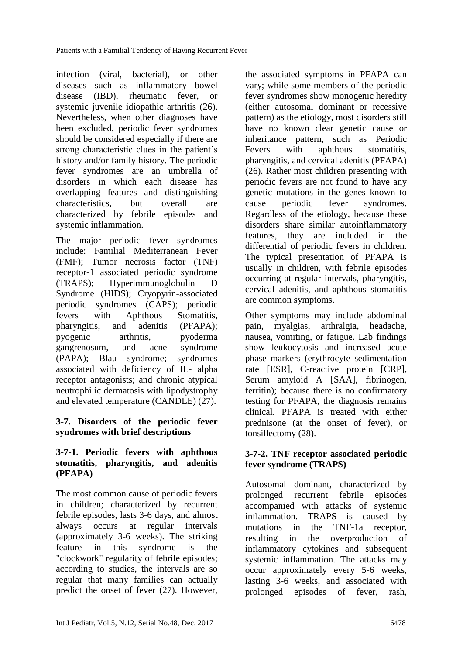infection (viral, bacterial), or other diseases such as inflammatory bowel disease (IBD), rheumatic fever, or systemic juvenile idiopathic arthritis (26). Nevertheless, when other diagnoses have been excluded, periodic fever syndromes should be considered especially if there are strong characteristic clues in the patient's history and/or family history. The periodic fever syndromes are an umbrella of disorders in which each disease has overlapping features and distinguishing characteristics, but overall are characterized by febrile episodes and systemic inflammation.

The major periodic fever syndromes include: Familial Mediterranean Fever (FMF); Tumor necrosis factor (TNF) receptor-1 associated periodic syndrome (TRAPS); Hyperimmunoglobulin D Syndrome (HIDS); Cryopyrin-associated periodic syndromes (CAPS); periodic fevers with Aphthous Stomatitis, pharyngitis, and adenitis (PFAPA); pyogenic arthritis, pyoderma gangrenosum, and acne syndrome (PAPA); Blau syndrome; syndromes associated with deficiency of IL- alpha receptor antagonists; and chronic atypical neutrophilic dermatosis with lipodystrophy and elevated temperature (CANDLE) (27).

#### **3-7. Disorders of the periodic fever syndromes with brief descriptions**

#### **3-7-1. Periodic fevers with aphthous stomatitis, pharyngitis, and adenitis (PFAPA)**

The most common cause of periodic fevers in children; characterized by recurrent febrile episodes, lasts 3-6 days, and almost always occurs at regular intervals (approximately 3-6 weeks). The striking feature in this syndrome is the "clockwork" regularity of febrile episodes; according to studies, the intervals are so regular that many families can actually predict the onset of fever (27). However,

the associated symptoms in PFAPA can vary; while some members of the periodic fever syndromes show monogenic heredity (either autosomal dominant or recessive pattern) as the etiology, most disorders still have no known clear genetic cause or inheritance pattern, such as Periodic Fevers with aphthous stomatitis, pharyngitis, and cervical adenitis (PFAPA) (26). Rather most children presenting with periodic fevers are not found to have any genetic mutations in the genes known to cause periodic fever syndromes. Regardless of the etiology, because these disorders share similar autoinflammatory features, they are included in the differential of periodic fevers in children. The typical presentation of PFAPA is usually in children, with febrile episodes occurring at regular intervals, pharyngitis, cervical adenitis, and aphthous stomatitis are common symptoms.

Other symptoms may include abdominal pain, myalgias, arthralgia, headache, nausea, vomiting, or fatigue. Lab findings show leukocytosis and increased acute phase markers (erythrocyte sedimentation rate [ESR], C-reactive protein [CRP], Serum amyloid A [SAA], fibrinogen, ferritin); because there is no confirmatory testing for PFAPA, the diagnosis remains clinical. PFAPA is treated with either prednisone (at the onset of fever), or tonsillectomy (28).

#### **3-7-2. TNF receptor associated periodic fever syndrome (TRAPS)**

Autosomal dominant, characterized by prolonged recurrent febrile episodes accompanied with attacks of systemic inflammation. TRAPS is caused by mutations in the TNF-1a receptor, resulting in the overproduction of inflammatory cytokines and subsequent systemic inflammation. The attacks may occur approximately every 5-6 weeks, lasting 3-6 weeks, and associated with prolonged episodes of fever, rash,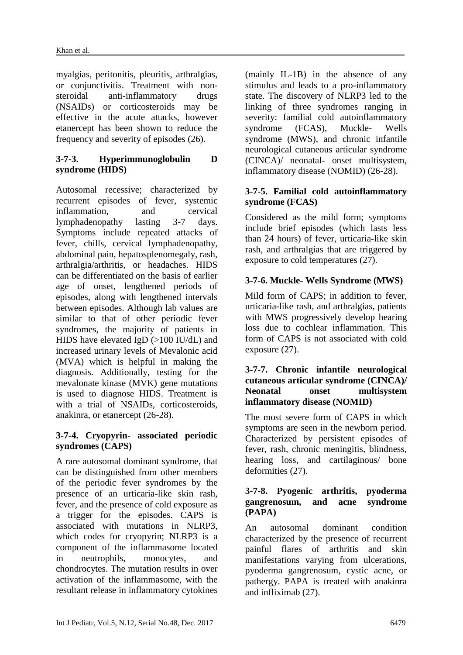myalgias, peritonitis, pleuritis, arthralgias, or conjunctivitis. Treatment with nonsteroidal anti-inflammatory drugs (NSAIDs) or corticosteroids may be effective in the acute attacks, however etanercept has been shown to reduce the frequency and severity of episodes (26).

#### **3-7-3. Hyperimmunoglobulin D syndrome (HIDS)**

Autosomal recessive; characterized by recurrent episodes of fever, systemic inflammation, and cervical lymphadenopathy lasting 3-7 days. Symptoms include repeated attacks of fever, chills, cervical lymphadenopathy, abdominal pain, hepatosplenomegaly, rash, arthralgia/arthritis, or headaches. HIDS can be differentiated on the basis of earlier age of onset, lengthened periods of episodes, along with lengthened intervals between episodes. Although lab values are similar to that of other periodic fever syndromes, the majority of patients in HIDS have elevated IgD (>100 IU/dL) and increased urinary levels of Mevalonic acid (MVA) which is helpful in making the diagnosis. Additionally, testing for the mevalonate kinase (MVK) gene mutations is used to diagnose HIDS. Treatment is with a trial of NSAIDs, corticosteroids, anakinra, or etanercept (26-28).

#### **3-7-4. Cryopyrin- associated periodic syndromes (CAPS)**

A rare autosomal dominant syndrome, that can be distinguished from other members of the periodic fever syndromes by the presence of an urticaria-like skin rash, fever, and the presence of cold exposure as a trigger for the episodes. CAPS is associated with mutations in NLRP3, which codes for cryopyrin; NLRP3 is a component of the inflammasome located in neutrophils, monocytes, and chondrocytes. The mutation results in over activation of the inflammasome, with the resultant release in inflammatory cytokines (mainly IL-1B) in the absence of any stimulus and leads to a pro-inflammatory state. The discovery of NLRP3 led to the linking of three syndromes ranging in severity: familial cold autoinflammatory syndrome (FCAS), Muckle- Wells syndrome (MWS), and chronic infantile neurological cutaneous articular syndrome (CINCA)/ neonatal- onset multisystem, inflammatory disease (NOMID) (26-28).

#### **3-7-5. Familial cold autoinflammatory syndrome (FCAS)**

Considered as the mild form; symptoms include brief episodes (which lasts less than 24 hours) of fever, urticaria-like skin rash, and arthralgias that are triggered by exposure to cold temperatures (27).

## **3-7-6. Muckle- Wells Syndrome (MWS)**

Mild form of CAPS; in addition to fever, urticaria-like rash, and arthralgias, patients with MWS progressively develop hearing loss due to cochlear inflammation. This form of CAPS is not associated with cold exposure (27).

#### **3-7-7. Chronic infantile neurological cutaneous articular syndrome (CINCA)/ Neonatal onset multisystem inflammatory disease (NOMID)**

The most severe form of CAPS in which symptoms are seen in the newborn period. Characterized by persistent episodes of fever, rash, chronic meningitis, blindness, hearing loss, and cartilaginous/ bone deformities (27).

#### **3-7-8. Pyogenic arthritis, pyoderma gangrenosum, and acne syndrome (PAPA)**

An autosomal dominant condition characterized by the presence of recurrent painful flares of arthritis and skin manifestations varying from ulcerations, pyoderma gangrenosum, cystic acne, or pathergy. PAPA is treated with anakinra and infliximab (27).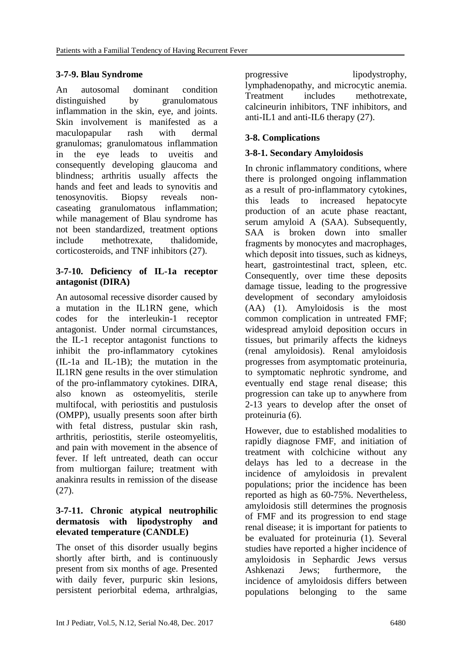#### **3-7-9. Blau Syndrome**

An autosomal dominant condition distinguished by granulomatous inflammation in the skin, eye, and joints. Skin involvement is manifested as a maculopapular rash with dermal granulomas; granulomatous inflammation in the eye leads to uveitis and consequently developing glaucoma and blindness; arthritis usually affects the hands and feet and leads to synovitis and tenosynovitis. Biopsy reveals noncaseating granulomatous inflammation; while management of Blau syndrome has not been standardized, treatment options include methotrexate, thalidomide, corticosteroids, and TNF inhibitors (27).

#### **3-7-10. Deficiency of IL-1a receptor antagonist (DIRA)**

An autosomal recessive disorder caused by a mutation in the IL1RN gene, which codes for the interleukin-1 receptor antagonist. Under normal circumstances, the IL-1 receptor antagonist functions to inhibit the pro-inflammatory cytokines (IL-1a and IL-1B); the mutation in the IL1RN gene results in the over stimulation of the pro-inflammatory cytokines. DIRA, also known as osteomyelitis, sterile multifocal, with periostitis and pustulosis (OMPP), usually presents soon after birth with fetal distress, pustular skin rash, arthritis, periostitis, sterile osteomyelitis, and pain with movement in the absence of fever. If left untreated, death can occur from multiorgan failure; treatment with anakinra results in remission of the disease (27).

#### **3-7-11. Chronic atypical neutrophilic dermatosis with lipodystrophy and elevated temperature (CANDLE)**

The onset of this disorder usually begins shortly after birth, and is continuously present from six months of age. Presented with daily fever, purpuric skin lesions, persistent periorbital edema, arthralgias, progressive lipodystrophy, lymphadenopathy, and microcytic anemia. Treatment includes methotrexate, calcineurin inhibitors, TNF inhibitors, and anti-IL1 and anti-IL6 therapy (27).

## **3-8. Complications**

#### **3-8-1. Secondary Amyloidosis**

In chronic inflammatory conditions, where there is prolonged ongoing inflammation as a result of pro-inflammatory cytokines, this leads to increased hepatocyte production of an acute phase reactant, serum amyloid A (SAA). Subsequently, SAA is broken down into smaller fragments by monocytes and macrophages, which deposit into tissues, such as kidneys, heart, gastrointestinal tract, spleen, etc. Consequently, over time these deposits damage tissue, leading to the progressive development of secondary amyloidosis (AA) (1). Amyloidosis is the most common complication in untreated FMF; widespread amyloid deposition occurs in tissues, but primarily affects the kidneys (renal amyloidosis). Renal amyloidosis progresses from asymptomatic proteinuria, to symptomatic nephrotic syndrome, and eventually end stage renal disease; this progression can take up to anywhere from 2-13 years to develop after the onset of proteinuria (6).

However, due to established modalities to rapidly diagnose FMF, and initiation of treatment with colchicine without any delays has led to a decrease in the incidence of amyloidosis in prevalent populations; prior the incidence has been reported as high as 60-75%. Nevertheless, amyloidosis still determines the prognosis of FMF and its progression to end stage renal disease; it is important for patients to be evaluated for proteinuria (1). Several studies have reported a higher incidence of amyloidosis in Sephardic Jews versus Ashkenazi Jews; furthermore, the incidence of amyloidosis differs between populations belonging to the same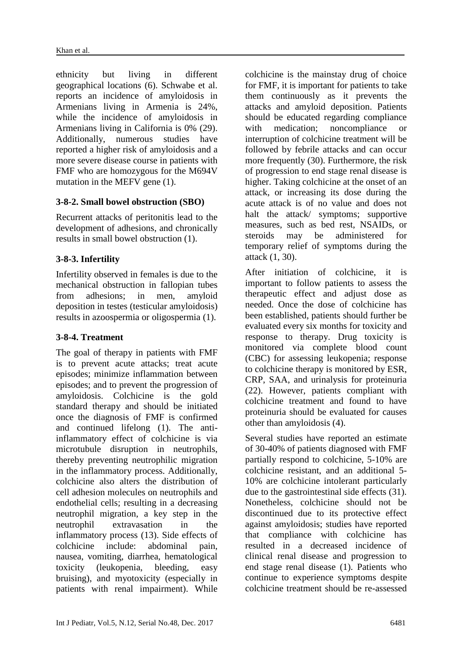ethnicity but living in different geographical locations (6). Schwabe et al. reports an incidence of amyloidosis in Armenians living in Armenia is 24%, while the incidence of amyloidosis in Armenians living in California is 0% (29). Additionally, numerous studies have reported a higher risk of amyloidosis and a more severe disease course in patients with FMF who are homozygous for the M694V mutation in the MEFV gene (1).

#### **3-8-2. Small bowel obstruction (SBO)**

Recurrent attacks of peritonitis lead to the development of adhesions, and chronically results in small bowel obstruction (1).

#### **3-8-3. Infertility**

Infertility observed in females is due to the mechanical obstruction in fallopian tubes from adhesions; in men, amyloid deposition in testes (testicular amyloidosis) results in azoospermia or oligospermia (1).

#### **3-8-4. Treatment**

The goal of therapy in patients with FMF is to prevent acute attacks; treat acute episodes; minimize inflammation between episodes; and to prevent the progression of amyloidosis. Colchicine is the gold standard therapy and should be initiated once the diagnosis of FMF is confirmed and continued lifelong (1). The antiinflammatory effect of colchicine is via microtubule disruption in neutrophils, thereby preventing neutrophilic migration in the inflammatory process. Additionally, colchicine also alters the distribution of cell adhesion molecules on neutrophils and endothelial cells; resulting in a decreasing neutrophil migration, a key step in the neutrophil extravasation in the inflammatory process (13). Side effects of colchicine include: abdominal pain, nausea, vomiting, diarrhea, hematological toxicity (leukopenia, bleeding, easy bruising), and myotoxicity (especially in patients with renal impairment). While

colchicine is the mainstay drug of choice for FMF, it is important for patients to take them continuously as it prevents the attacks and amyloid deposition. Patients should be educated regarding compliance with medication; noncompliance or interruption of colchicine treatment will be followed by febrile attacks and can occur more frequently (30). Furthermore, the risk of progression to end stage renal disease is higher. Taking colchicine at the onset of an attack, or increasing its dose during the acute attack is of no value and does not halt the attack/ symptoms; supportive measures, such as bed rest, NSAIDs, or steroids may be administered for temporary relief of symptoms during the attack (1, 30).

After initiation of colchicine, it is important to follow patients to assess the therapeutic effect and adjust dose as needed. Once the dose of colchicine has been established, patients should further be evaluated every six months for toxicity and response to therapy. Drug toxicity is monitored via complete blood count (CBC) for assessing leukopenia; response to colchicine therapy is monitored by ESR, CRP, SAA, and urinalysis for proteinuria (22). However, patients compliant with colchicine treatment and found to have proteinuria should be evaluated for causes other than amyloidosis (4).

Several studies have reported an estimate of 30-40% of patients diagnosed with FMF partially respond to colchicine, 5-10% are colchicine resistant, and an additional 5- 10% are colchicine intolerant particularly due to the gastrointestinal side effects (31). Nonetheless, colchicine should not be discontinued due to its protective effect against amyloidosis; studies have reported that compliance with colchicine has resulted in a decreased incidence of clinical renal disease and progression to end stage renal disease (1). Patients who continue to experience symptoms despite colchicine treatment should be re-assessed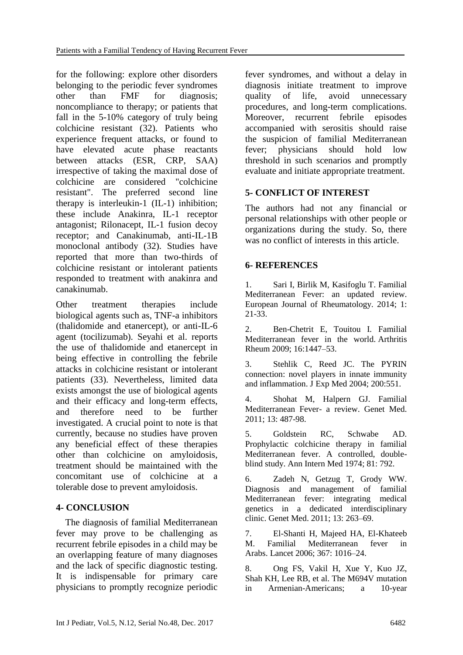for the following: explore other disorders belonging to the periodic fever syndromes other than FMF for diagnosis; noncompliance to therapy; or patients that fall in the 5-10% category of truly being colchicine resistant (32). Patients who experience frequent attacks, or found to have elevated acute phase reactants between attacks (ESR, CRP, SAA) irrespective of taking the maximal dose of colchicine are considered "colchicine resistant". The preferred second line therapy is interleukin-1 (IL-1) inhibition; these include Anakinra, IL-1 receptor antagonist; Rilonacept, IL-1 fusion decoy receptor; and Canakinumab, anti-IL-1B monoclonal antibody (32). Studies have reported that more than two-thirds of colchicine resistant or intolerant patients responded to treatment with anakinra and canakinumab.

Other treatment therapies include biological agents such as, TNF-a inhibitors (thalidomide and etanercept), or anti-IL-6 agent (tocilizumab). Seyahi et al. reports the use of thalidomide and etanercept in being effective in controlling the febrile attacks in colchicine resistant or intolerant patients (33). Nevertheless, limited data exists amongst the use of biological agents and their efficacy and long-term effects, and therefore need to be further investigated. A crucial point to note is that currently, because no studies have proven any beneficial effect of these therapies other than colchicine on amyloidosis, treatment should be maintained with the concomitant use of colchicine at a tolerable dose to prevent amyloidosis.

#### **4- CONCLUSION**

 The diagnosis of familial Mediterranean fever may prove to be challenging as recurrent febrile episodes in a child may be an overlapping feature of many diagnoses and the lack of specific diagnostic testing. It is indispensable for primary care physicians to promptly recognize periodic fever syndromes, and without a delay in diagnosis initiate treatment to improve quality of life, avoid unnecessary procedures, and long-term complications. Moreover, recurrent febrile episodes accompanied with serositis should raise the suspicion of familial Mediterranean fever; physicians should hold low threshold in such scenarios and promptly evaluate and initiate appropriate treatment.

## **5- CONFLICT OF INTEREST**

The authors had not any financial or personal relationships with other people or organizations during the study. So, there was no conflict of interests in this article.

#### **6- REFERENCES**

1. Sari I, Birlik M, Kasifoglu T. Familial Mediterranean Fever: an updated review. European Journal of Rheumatology. 2014; 1: 21-33.

2. Ben-Chetrit E, Touitou I. Familial Mediterranean fever in the world. Arthritis Rheum 2009; 16:1447–53.

3. Stehlik C, Reed JC. The PYRIN connection: novel players in innate immunity and inflammation. J Exp Med 2004; 200:551.

4. Shohat M, Halpern GJ. Familial Mediterranean Fever- a review. Genet Med. 2011; 13: 487-98.

5. Goldstein RC, Schwabe AD. Prophylactic colchicine therapy in familial Mediterranean fever. A controlled, doubleblind study. Ann Intern Med 1974; 81: 792.

6. Zadeh N, Getzug T, Grody WW. Diagnosis and management of familial Mediterranean fever: integrating medical genetics in a dedicated interdisciplinary clinic. Genet Med. 2011; 13: 263–69.

7. El-Shanti H, Majeed HA, El-Khateeb M. Familial Mediterranean fever in Arabs. Lancet 2006; 367: 1016–24.

8. Ong FS, Vakil H, Xue Y, Kuo JZ, Shah KH, Lee RB, et al. The M694V mutation in Armenian-Americans; a 10-year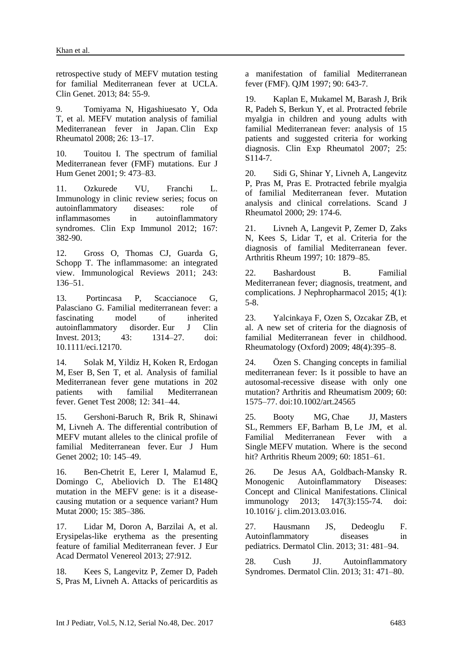retrospective study of MEFV mutation testing for familial Mediterranean fever at UCLA. Clin Genet. 2013; 84: 55-9.

9. Tomiyama N, Higashiuesato Y, Oda T, et al. MEFV mutation analysis of familial Mediterranean fever in Japan. Clin Exp Rheumatol 2008; 26: 13–17.

10. Touitou I. The spectrum of familial Mediterranean fever (FMF) mutations. Eur J Hum Genet 2001; 9: 473–83.

11. Ozkurede VU, Franchi L. Immunology in clinic review series; focus on autoinflammatory diseases: role of inflammasomes in autoinflammatory syndromes. Clin Exp Immunol 2012; 167: 382-90.

12. Gross O, Thomas CJ, Guarda G, Schopp T. The inflammasome: an integrated view. Immunological Reviews 2011; 243: 136–51.

13. Portincasa P, Scaccianoce G, Palasciano G. Familial mediterranean fever: a fascinating model of inherited autoinflammatory disorder. Eur J Clin<br>Invest. 2013: 43: 1314–27 doi: Invest.  $2013$ :  $43$ :  $1314-27$ . 10.1111/eci.12170.

14. [Solak M,](https://www.ncbi.nlm.nih.gov/pubmed/?term=Solak%20M%5BAuthor%5D&cauthor=true&cauthor_uid=18662100) [Yildiz H,](https://www.ncbi.nlm.nih.gov/pubmed/?term=Yildiz%20H%5BAuthor%5D&cauthor=true&cauthor_uid=18662100) [Koken R,](https://www.ncbi.nlm.nih.gov/pubmed/?term=Koken%20R%5BAuthor%5D&cauthor=true&cauthor_uid=18662100) [Erdogan](https://www.ncbi.nlm.nih.gov/pubmed/?term=Erdogan%20M%5BAuthor%5D&cauthor=true&cauthor_uid=18662100)  [M,](https://www.ncbi.nlm.nih.gov/pubmed/?term=Erdogan%20M%5BAuthor%5D&cauthor=true&cauthor_uid=18662100) [Eser B,](https://www.ncbi.nlm.nih.gov/pubmed/?term=Eser%20B%5BAuthor%5D&cauthor=true&cauthor_uid=18662100) [Sen T,](https://www.ncbi.nlm.nih.gov/pubmed/?term=Sen%20T%5BAuthor%5D&cauthor=true&cauthor_uid=18662100) et al. Analysis of familial Mediterranean fever gene mutations in 202 patients with familial Mediterranean fever. Genet Test 2008; 12: 341–44.

15. Gershoni-Baruch R, Brik R, Shinawi M, Livneh A. The differential contribution of MEFV mutant alleles to the clinical profile of familial Mediterranean fever. Eur J Hum Genet 2002; 10: 145–49.

16. Ben-Chetrit E, Lerer I, Malamud E, Domingo C, Abeliovich D. The E148Q mutation in the MEFV gene: is it a diseasecausing mutation or a sequence variant? Hum Mutat 2000; 15: 385–386.

17. Lidar M, Doron A, Barzilai A, et al. Erysipelas-like erythema as the presenting feature of familial Mediterranean fever. J Eur Acad Dermatol Venereol 2013; 27:912.

18. Kees S, Langevitz P, Zemer D, Padeh S, Pras M, Livneh A. Attacks of pericarditis as a manifestation of familial Mediterranean fever (FMF). QJM 1997; 90: 643-7.

19. Kaplan E, Mukamel M, Barash J, Brik R, Padeh S, Berkun Y, et al. Protracted febrile myalgia in children and young adults with familial Mediterranean fever: analysis of 15 patients and suggested criteria for working diagnosis. Clin Exp Rheumatol 2007; 25: S114-7.

20. Sidi G, Shinar Y, Livneh A, Langevitz P, Pras M, Pras E. Protracted febrile myalgia of familial Mediterranean fever. Mutation analysis and clinical correlations. Scand J Rheumatol 2000; 29: 174-6.

21. Livneh A, Langevit P, Zemer D, Zaks N, Kees S, Lidar T, et al. Criteria for the diagnosis of familial Mediterranean fever. Arthritis Rheum 1997; 10: 1879–85.

22. Bashardoust B. Familial Mediterranean fever; diagnosis, treatment, and complications. J Nephropharmacol 2015; 4(1): 5-8.

23. Yalcinkaya F, Ozen S, Ozcakar ZB, et al. A new set of criteria for the diagnosis of familial Mediterranean fever in childhood. Rheumatology (Oxford) 2009; 48(4):395–8.

24. Özen S. Changing concepts in familial mediterranean fever: Is it possible to have an autosomal-recessive disease with only one mutation? Arthritis and Rheumatism 2009; 60: 1575–77. doi:10.1002/art.24565

25. [Booty MG,](https://www.ncbi.nlm.nih.gov/pubmed/?term=Booty%20MG%5BAuthor%5D&cauthor=true&cauthor_uid=19479870) [Chae JJ,](https://www.ncbi.nlm.nih.gov/pubmed/?term=Chae%20JJ%5BAuthor%5D&cauthor=true&cauthor_uid=19479870) [Masters](https://www.ncbi.nlm.nih.gov/pubmed/?term=Masters%20SL%5BAuthor%5D&cauthor=true&cauthor_uid=19479870)  [SL,](https://www.ncbi.nlm.nih.gov/pubmed/?term=Masters%20SL%5BAuthor%5D&cauthor=true&cauthor_uid=19479870) [Remmers EF,](https://www.ncbi.nlm.nih.gov/pubmed/?term=Remmers%20EF%5BAuthor%5D&cauthor=true&cauthor_uid=19479870) [Barham B,](https://www.ncbi.nlm.nih.gov/pubmed/?term=Barham%20B%5BAuthor%5D&cauthor=true&cauthor_uid=19479870) [Le JM,](https://www.ncbi.nlm.nih.gov/pubmed/?term=Le%20JM%5BAuthor%5D&cauthor=true&cauthor_uid=19479870) et al. Familial Mediterranean Fever with a Single MEFV mutation. Where is the second hit? Arthritis Rheum 2009; 60: 1851–61.

26. De Jesus AA, Goldbach-Mansky R. Monogenic Autoinflammatory Diseases: Concept and Clinical Manifestations. Clinical immunology 2013; 147(3):155-74. doi: 10.1016/ j. clim.2013.03.016.

27. Hausmann JS, Dedeoglu F. Autoinflammatory diseases in pediatrics. Dermatol Clin. 2013; 31: 481–94.

28. Cush JJ. Autoinflammatory Syndromes. Dermatol Clin. 2013; 31: 471–80.